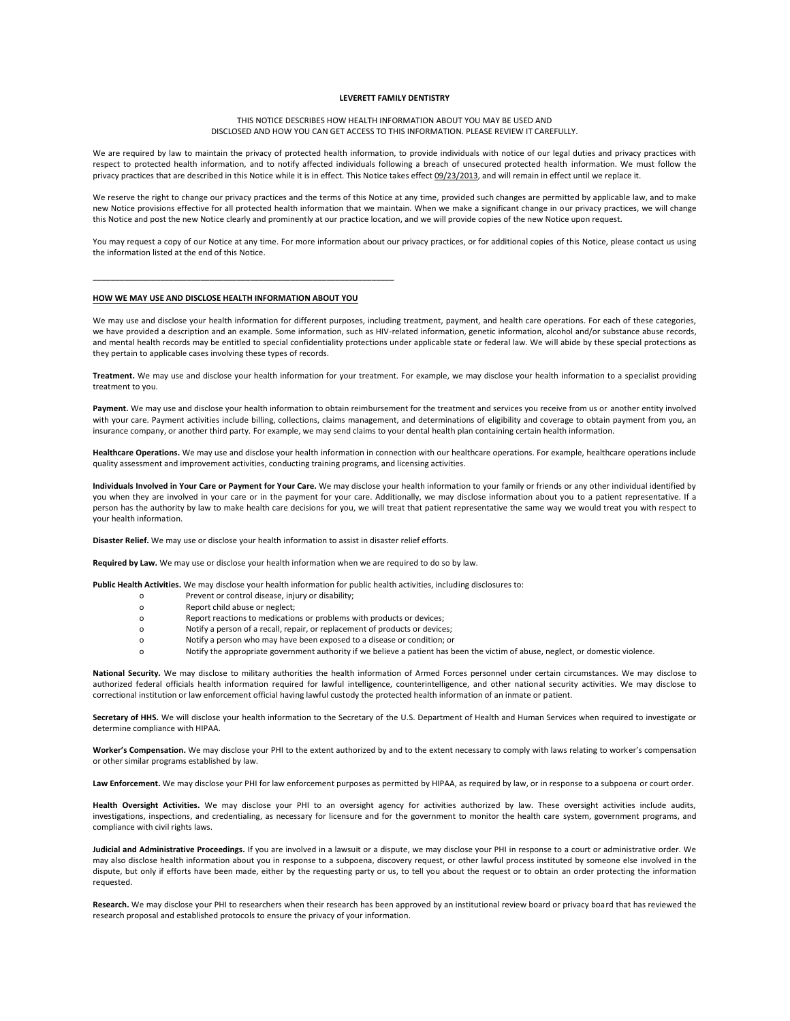## **LEVERETT FAMILY DENTISTRY**

## THIS NOTICE DESCRIBES HOW HEALTH INFORMATION ABOUT YOU MAY BE USED AND DISCLOSED AND HOW YOU CAN GET ACCESS TO THIS INFORMATION. PLEASE REVIEW IT CAREFULLY.

We are required by law to maintain the privacy of protected health information, to provide individuals with notice of our legal duties and privacy practices with respect to protected health information, and to notify affected individuals following a breach of unsecured protected health information. We must follow the privacy practices that are described in this Notice while it is in effect. This Notice takes effect 09/23/2013, and will remain in effect until we replace it.

We reserve the right to change our privacy practices and the terms of this Notice at any time, provided such changes are permitted by applicable law, and to make new Notice provisions effective for all protected health information that we maintain. When we make a significant change in our privacy practices, we will change this Notice and post the new Notice clearly and prominently at our practice location, and we will provide copies of the new Notice upon request.

You may request a copy of our Notice at any time. For more information about our privacy practices, or for additional copies of this Notice, please contact us using the information listed at the end of this Notice.

## **HOW WE MAY USE AND DISCLOSE HEALTH INFORMATION ABOUT YOU**

**\_\_\_\_\_\_\_\_\_\_\_\_\_\_\_\_\_\_\_\_\_\_\_\_\_\_\_\_\_\_\_\_\_\_\_\_\_\_\_\_\_\_\_\_\_\_\_\_\_\_\_\_\_\_\_\_\_\_\_\_\_\_\_\_\_\_\_**

We may use and disclose your health information for different purposes, including treatment, payment, and health care operations. For each of these categories, we have provided a description and an example. Some information, such as HIV-related information, genetic information, alcohol and/or substance abuse records, and mental health records may be entitled to special confidentiality protections under applicable state or federal law. We will abide by these special protections as they pertain to applicable cases involving these types of records.

**Treatment.** We may use and disclose your health information for your treatment. For example, we may disclose your health information to a specialist providing treatment to you.

Payment. We may use and disclose your health information to obtain reimbursement for the treatment and services you receive from us or another entity involved with your care. Payment activities include billing, collections, claims management, and determinations of eligibility and coverage to obtain payment from you, an insurance company, or another third party. For example, we may send claims to your dental health plan containing certain health information.

**Healthcare Operations.** We may use and disclose your health information in connection with our healthcare operations. For example, healthcare operations include quality assessment and improvement activities, conducting training programs, and licensing activities.

Individuals Involved in Your Care or Payment for Your Care. We may disclose your health information to your family or friends or any other individual identified by you when they are involved in your care or in the payment for your care. Additionally, we may disclose information about you to a patient representative. If a person has the authority by law to make health care decisions for you, we will treat that patient representative the same way we would treat you with respect to your health information.

**Disaster Relief.** We may use or disclose your health information to assist in disaster relief efforts.

**Required by Law.** We may use or disclose your health information when we are required to do so by law.

**Public Health Activities.** We may disclose your health information for public health activities, including disclosures to:

- o Prevent or control disease, injury or disability;
- o Report child abuse or neglect;
- o Report reactions to medications or problems with products or devices;
- o Notify a person of a recall, repair, or replacement of products or devices;
- o Notify a person who may have been exposed to a disease or condition; or
- Notify the appropriate government authority if we believe a patient has been the victim of abuse, neglect, or domestic violence.

**National Security.** We may disclose to military authorities the health information of Armed Forces personnel under certain circumstances. We may disclose to authorized federal officials health information required for lawful intelligence, counterintelligence, and other national security activities. We may disclose to correctional institution or law enforcement official having lawful custody the protected health information of an inmate or patient.

Secretary of HHS. We will disclose your health information to the Secretary of the U.S. Department of Health and Human Services when required to investigate or determine compliance with HIPAA.

**Worker's Compensation.** We may disclose your PHI to the extent authorized by and to the extent necessary to comply with laws relating to worker's compensation or other similar programs established by law.

Law Enforcement. We may disclose your PHI for law enforcement purposes as permitted by HIPAA, as required by law, or in response to a subpoena or court order.

**Health Oversight Activities.** We may disclose your PHI to an oversight agency for activities authorized by law. These oversight activities include audits, investigations, inspections, and credentialing, as necessary for licensure and for the government to monitor the health care system, government programs, and compliance with civil rights laws.

**Judicial and Administrative Proceedings.** If you are involved in a lawsuit or a dispute, we may disclose your PHI in response to a court or administrative order. We may also disclose health information about you in response to a subpoena, discovery request, or other lawful process instituted by someone else involved in the dispute, but only if efforts have been made, either by the requesting party or us, to tell you about the request or to obtain an order protecting the information requested.

**Research.** We may disclose your PHI to researchers when their research has been approved by an institutional review board or privacy board that has reviewed the research proposal and established protocols to ensure the privacy of your information.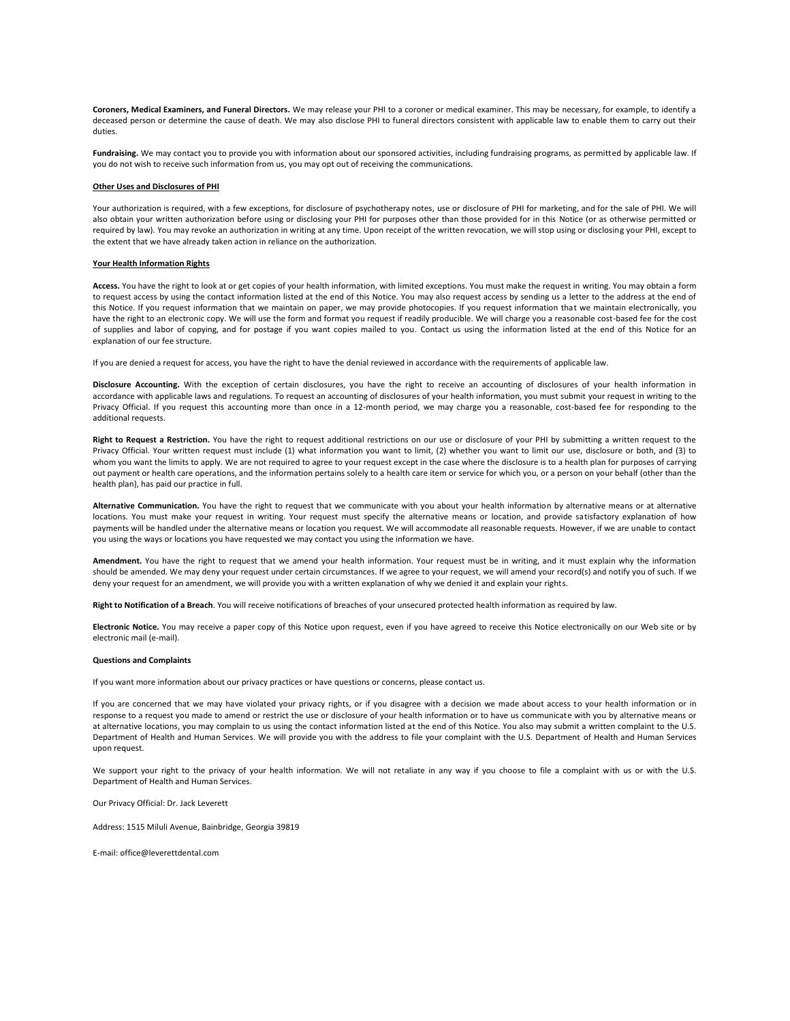**Coroners, Medical Examiners, and Funeral Directors.** We may release your PHI to a coroner or medical examiner. This may be necessary, for example, to identify a deceased person or determine the cause of death. We may also disclose PHI to funeral directors consistent with applicable law to enable them to carry out their duties.

Fundraising. We may contact you to provide you with information about our sponsored activities, including fundraising programs, as permitted by applicable law. If you do not wish to receive such information from us, you may opt out of receiving the communications.

#### **Other Uses and Disclosures of PHI**

Your authorization is required, with a few exceptions, for disclosure of psychotherapy notes, use or disclosure of PHI for marketing, and for the sale of PHI. We will also obtain your written authorization before using or disclosing your PHI for purposes other than those provided for in this Notice (or as otherwise permitted or required by law). You may revoke an authorization in writing at any time. Upon receipt of the written revocation, we will stop using or disclosing your PHI, except to the extent that we have already taken action in reliance on the authorization.

#### **Your Health Information Rights**

**Access.** You have the right to look at or get copies of your health information, with limited exceptions. You must make the request in writing. You may obtain a form to request access by using the contact information listed at the end of this Notice. You may also request access by sending us a letter to the address at the end of this Notice. If you request information that we maintain on paper, we may provide photocopies. If you request information that we maintain electronically, you have the right to an electronic copy. We will use the form and format you request if readily producible. We will charge you a reasonable cost-based fee for the cost of supplies and labor of copying, and for postage if you want copies mailed to you. Contact us using the information listed at the end of this Notice for an explanation of our fee structure.

If you are denied a request for access, you have the right to have the denial reviewed in accordance with the requirements of applicable law.

**Disclosure Accounting.** With the exception of certain disclosures, you have the right to receive an accounting of disclosures of your health information in accordance with applicable laws and regulations. To request an accounting of disclosures of your health information, you must submit your request in writing to the Privacy Official. If you request this accounting more than once in a 12-month period, we may charge you a reasonable, cost-based fee for responding to the additional requests.

**Right to Request a Restriction.** You have the right to request additional restrictions on our use or disclosure of your PHI by submitting a written request to the Privacy Official. Your written request must include (1) what information you want to limit, (2) whether you want to limit our use, disclosure or both, and (3) to whom you want the limits to apply. We are not required to agree to your request except in the case where the disclosure is to a health plan for purposes of carrying out payment or health care operations, and the information pertains solely to a health care item or service for which you, or a person on your behalf (other than the health plan), has paid our practice in full.

**Alternative Communication.** You have the right to request that we communicate with you about your health information by alternative means or at alternative locations. You must make your request in writing. Your request must specify the alternative means or location, and provide satisfactory explanation of how payments will be handled under the alternative means or location you request. We will accommodate all reasonable requests. However, if we are unable to contact you using the ways or locations you have requested we may contact you using the information we have.

**Amendment.** You have the right to request that we amend your health information. Your request must be in writing, and it must explain why the information should be amended. We may deny your request under certain circumstances. If we agree to your request, we will amend your record(s) and notify you of such. If we deny your request for an amendment, we will provide you with a written explanation of why we denied it and explain your rights.

**Right to Notification of a Breach**. You will receive notifications of breaches of your unsecured protected health information as required by law.

**Electronic Notice.** You may receive a paper copy of this Notice upon request, even if you have agreed to receive this Notice electronically on our Web site or by electronic mail (e-mail).

### **Questions and Complaints**

If you want more information about our privacy practices or have questions or concerns, please contact us.

If you are concerned that we may have violated your privacy rights, or if you disagree with a decision we made about access to your health information or in response to a request you made to amend or restrict the use or disclosure of your health information or to have us communicate with you by alternative means or at alternative locations, you may complain to us using the contact information listed at the end of this Notice. You also may submit a written complaint to the U.S. Department of Health and Human Services. We will provide you with the address to file your complaint with the U.S. Department of Health and Human Services upon request.

We support your right to the privacy of your health information. We will not retaliate in any way if you choose to file a complaint with us or with the U.S. Department of Health and Human Services.

Our Privacy Official: Dr. Jack Leverett

Address: 1515 Miluli Avenue, Bainbridge, Georgia 39819

E-mail: office@leverettdental.com